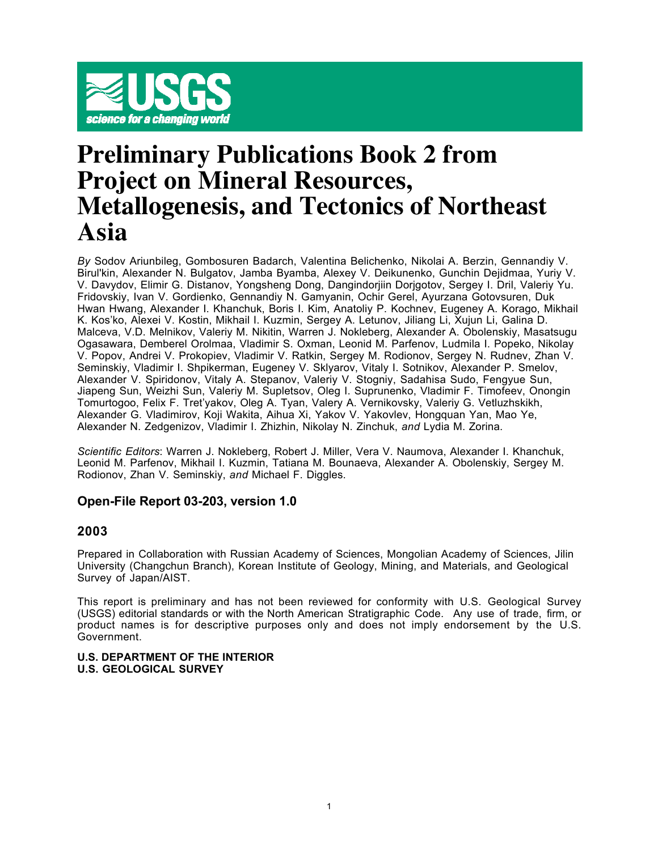

# **Preliminary Publications Book 2 from Project on Mineral Resources, Metallogenesis, and Tectonics of Northeast Asia**

*By* Sodov Ariunbileg, Gombosuren Badarch, Valentina Belichenko, Nikolai A. Berzin, Gennandiy V. Birul'kin, Alexander N. Bulgatov, Jamba Byamba, Alexey V. Deikunenko, Gunchin Dejidmaa, Yuriy V. V. Davydov, Elimir G. Distanov, Yongsheng Dong, Dangindorjiin Dorjgotov, Sergey I. Dril, Valeriy Yu. Fridovskiy, Ivan V. Gordienko, Gennandiy N. Gamyanin, Ochir Gerel, Ayurzana Gotovsuren, Duk Hwan Hwang, Alexander I. Khanchuk, Boris I. Kim, Anatoliy P. Kochnev, Eugeney A. Korago, Mikhail K. Kos'ko, Alexei V. Kostin, Mikhail I. Kuzmin, Sergey A. Letunov, Jiliang Li, Xujun Li, Galina D. Malceva, V.D. Melnikov, Valeriy M. Nikitin, Warren J. Nokleberg, Alexander A. Obolenskiy, Masatsugu Ogasawara, Demberel Orolmaa, Vladimir S. Oxman, Leonid M. Parfenov, Ludmila I. Popeko, Nikolay V. Popov, Andrei V. Prokopiev, Vladimir V. Ratkin, Sergey M. Rodionov, Sergey N. Rudnev, Zhan V. Seminskiy, Vladimir I. Shpikerman, Eugeney V. Sklyarov, Vitaly I. Sotnikov, Alexander P. Smelov, Alexander V. Spiridonov, Vitaly A. Stepanov, Valeriy V. Stogniy, Sadahisa Sudo, Fengyue Sun, Jiapeng Sun, Weizhi Sun, Valeriy M. Supletsov, Oleg I. Suprunenko, Vladimir F. Timofeev, Onongin Tomurtogoo, Felix F. Tret'yakov, Oleg A. Tyan, Valery A. Vernikovsky, Valeriy G. Vetluzhskikh, Alexander G. Vladimirov, Koji Wakita, Aihua Xi, Yakov V. Yakovlev, Hongquan Yan, Mao Ye, Alexander N. Zedgenizov, Vladimir I. Zhizhin, Nikolay N. Zinchuk, *and* Lydia M. Zorina.

*Scientific Editors*: Warren J. Nokleberg, Robert J. Miller, Vera V. Naumova, Alexander I. Khanchuk, Leonid M. Parfenov, Mikhail I. Kuzmin, Tatiana M. Bounaeva, Alexander A. Obolenskiy, Sergey M. Rodionov, Zhan V. Seminskiy, *and* Michael F. Diggles.

# **Open-File Report 03-203, version 1.0**

# **2003**

Prepared in Collaboration with Russian Academy of Sciences, Mongolian Academy of Sciences, Jilin University (Changchun Branch), Korean Institute of Geology, Mining, and Materials, and Geological Survey of Japan/AIST.

This report is preliminary and has not been reviewed for conformity with U.S. Geological Survey (USGS) editorial standards or with the North American Stratigraphic Code. Any use of trade, firm, or product names is for descriptive purposes only and does not imply endorsement by the U.S. Government.

## **U.S. DEPARTMENT OF THE INTERIOR U.S. GEOLOGICAL SURVEY**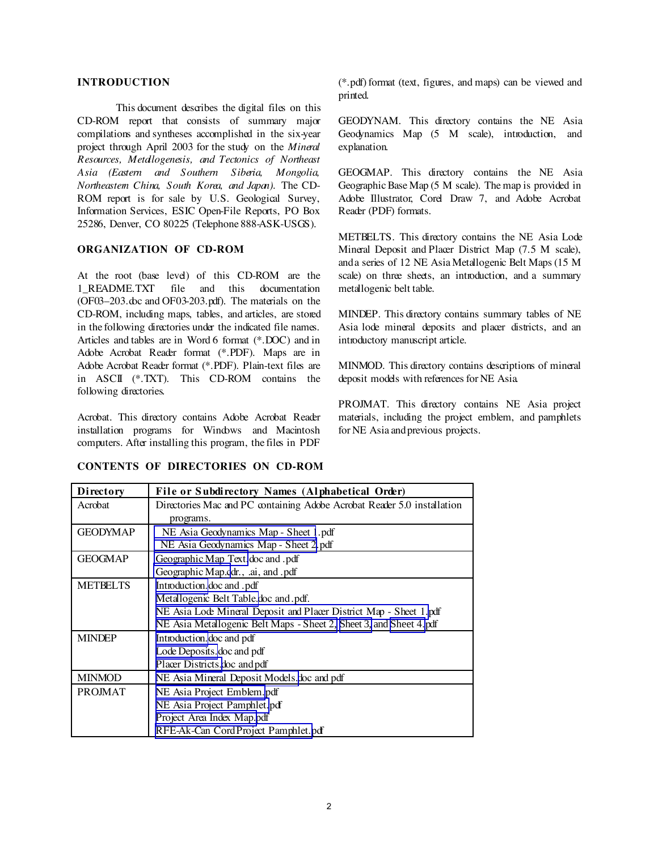## **INTRODUCTION**

This document describes the digital files on this CD-ROM report that consists of summary major compilations and syntheses accomplished in the six-year project through April 2003 for the study on the *Mineral Resources, Metallogenesis, and Tectonics of Northeast Asia (Eastern and Southern Siberia, Mongolia, Northeastern China, South Korea, and Japan)*. The CD-ROM report is for sale by U.S. Geological Survey, Information Services, ESIC Open-File Reports, PO Box 25286, Denver, CO 80225 (Telephone 888-ASK-USGS).

#### **ORGANIZATION OF CD-ROM**

At the root (base level) of this CD-ROM are the 1\_README.TXT file and this documentation (OF03–203.doc and OF03-203.pdf). The materials on the CD-ROM, including maps, tables, and articles, are stored in the following directories under the indicated file names. Articles and tables are in Word 6 format (\*.DOC) and in Adobe Acrobat Reader format (\*.PDF). Maps are in Adobe Acrobat Reader format (\*.PDF). Plain-text files are in ASCII (\*.TXT). This CD-ROM contains the following directories.

Acrobat. This directory contains Adobe Acrobat Reader installation programs for Windows and Macintosh computers. After installing this program, the files in PDF

# **CONTENTS OF DIRECTORIES ON CD-ROM**

(\*.pdf) format (text, figures, and maps) can be viewed and printed.

GEODYNAM. This directory contains the NE Asia Geodynamics Map (5 M scale), introduction, and explanation.

GEOGMAP. This directory contains the NE Asia Geographic Base Map (5 M scale). The map is provided in Adobe Illustrator, Corel Draw 7, and Adobe Acrobat Reader (PDF) formats.

METBELTS. This directory contains the NE Asia Lode Mineral Deposit and Placer District Map (7.5 M scale), anda series of 12 NE Asia Metallogenic Belt Maps (15 M scale) on three sheets, an introduction, and a summary metallogenic belt table.

MINDEP. This directory contains summary tables of NE Asia lode mineral deposits and placer districts, and an introductory manuscript article.

MINMOD. This directory contains descriptions of mineral deposit models with references for NE Asia.

PROJMAT. This directory contains NE Asia project materials, including the project emblem, and pamphlets for NE Asia andprevious projects.

| Directory       | File or Subdirectory Names (Alphabetical Order)                                                                                                                                                                 |  |
|-----------------|-----------------------------------------------------------------------------------------------------------------------------------------------------------------------------------------------------------------|--|
| Acrobat         | Directories Mac and PC containing Adobe Acrobat Reader 5.0 installation<br>programs.                                                                                                                            |  |
| <b>GEODYMAP</b> | NE Asia Geodynamics Map - Sheet 1.pdf<br>NE Asia Geodynamics Map - Sheet 2.pdf                                                                                                                                  |  |
| <b>GEOGMAP</b>  | Geographic Map Text.doc and .pdf<br>Geographic Map.cdr., .ai, and .pdf                                                                                                                                          |  |
| <b>METBELTS</b> | Introduction.doc and .pdf<br>Metallogenic Belt Table.doc and .pdf.<br>NE Asia Loce Mineral Deposit and Placer District Map - Sheet 1.pdf<br>NE Asia Metallogenic Belt Maps - Sheet 2, Sheet 3, and Sheet 4. pdf |  |
| <b>MINDEP</b>   | Introduction. doc and pdf<br>Lode Deposits. doc and pdf<br>Placer Districts.doc and pdf                                                                                                                         |  |
| <b>MINMOD</b>   | NE Asia Mineral Deposit Models doc and pdf                                                                                                                                                                      |  |
| <b>PROJMAT</b>  | NE Asia Project Emblem.pdf<br>NE Asia Project Pamphlet.pdf<br>Project Area Index Map.pdf<br>RFE-Ak-Can Cord Project Pamphlet.pdf                                                                                |  |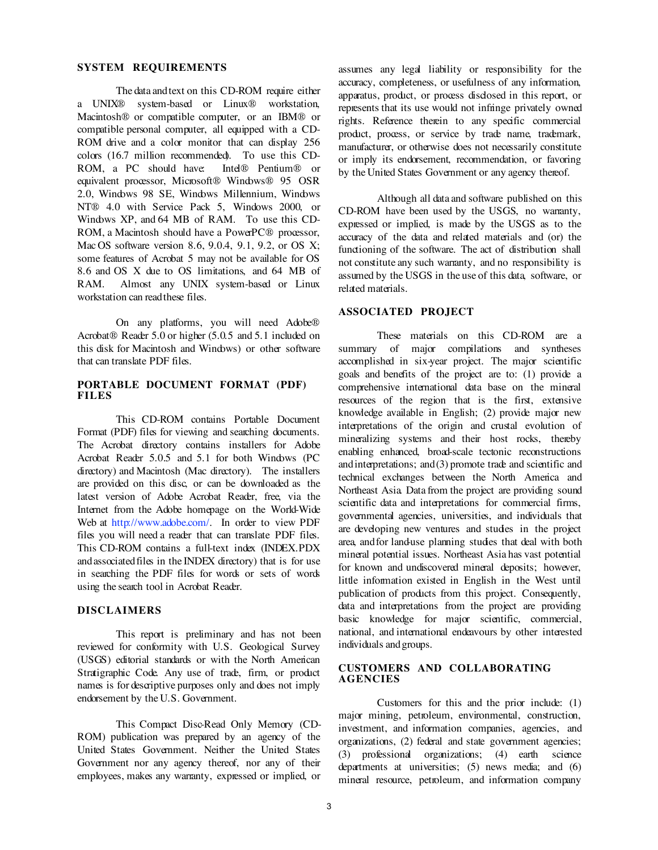#### **SYSTEM REQUIREMENTS**

The data andtext on this CD-ROM require either a UNIX® system-based or Linux® workstation, Macintosh® or compatible computer, or an IBM® or compatible personal computer, all equipped with a CD-ROM drive and a color monitor that can display 256 colors (16.7 million recommended). To use this CD-ROM, a PC should have: Intel® Pentium® or equivalent processor, Microsoft® Windows® 95 OSR 2.0, Windows 98 SE, Windows Millennium, Windows NT® 4.0 with Service Pack 5, Windows 2000, or Windows XP, and 64 MB of RAM. To use this CD-ROM, a Macintosh should have a PowerPC® processor, Mac OS software version 8.6, 9.0.4, 9.1, 9.2, or OS X; some features of Acrobat 5 may not be available for OS 8.6 and OS X due to OS limitations, and 64 MB of RAM. Almost any UNIX system-based or Linux workstation can readthese files.

On any platforms, you will need Adobe® Acrobat® Reader 5.0 or higher (5.0.5 and 5.1 included on this disk for Macintosh and Windows) or other software that can translate PDF files.

#### **PORTABLE DOCUMENT FORMAT (PDF) FILES**

This CD-ROM contains Portable Document Format (PDF) files for viewing and searching documents. The Acrobat directory contains installers for Adobe Acrobat Reader 5.0.5 and 5.1 for both Windows (PC directory) and Macintosh (Mac directory). The installers are provided on this disc, or can be downloaded as the latest version of Adobe Acrobat Reader, free, via the Internet from the Adobe homepage on the World-Wide Web at [http://www.adobe.com/.](http://www.adobe.com/) In order to view PDF files you will need a reader that can translate PDF files. This CD-ROM contains a full-text index (INDEX.PDX andassociatedfiles in the INDEX directory) that is for use in searching the PDF files for words or sets of words using the search tool in Acrobat Reader.

#### **DISCLAIMERS**

This report is preliminary and has not been reviewed for conformity with U.S. Geological Survey (USGS) editorial standards or with the North American Stratigraphic Code. Any use of trade, firm, or product names is for descriptive purposes only and does not imply endorsement by the U.S. Government.

This Compact Disc-Read Only Memory (CD-ROM) publication was prepared by an agency of the United States Government. Neither the United States Government nor any agency thereof, nor any of their employees, makes any warranty, expressed or implied, or assumes any legal liability or responsibility for the accuracy, completeness, or usefulness of any information, apparatus, product, or process disclosed in this report, or represents that its use would not infringe privately owned rights. Reference therein to any specific commercial product, process, or service by trace name, tracemark, manufacturer, or otherwise does not necessarily constitute or imply its endorsement, recommendation, or favoring by the United States Government or any agency thereof.

Although all data and software published on this CD-ROM have been used by the USGS, no warranty, expressed or implied, is made by the USGS as to the accuracy of the data and related materials and (or) the functioning of the software. The act of distribution shall not constitute any such warranty, and no responsibility is assumed by the USGS in the use of this data, software, or related materials.

#### **ASSOCIATED PROJECT**

These materials on this CD-ROM are a summary of major compilations and syntheses accomplished in six-year project. The major scientific goals and benefits of the project are to: (1) provide a comprehensive international data base on the mineral resources of the region that is the first, extensive knowledge available in English; (2) provide major new interpretations of the origin and crustal evolution of mineralizing systems and their host rocks, thereby enabling enhanced, broad-scale tectonic reconstructions andinterpretations; and(3) promote trade and scientific and technical exchanges between the North America and Northeast Asia. Data from the project are providing sound scientific data and interpretations for commercial firms, governmental agencies, universities, and individuals that are developing new ventures and studies in the project area, and for land-use planning studies that deal with both mineral potential issues. Northeast Asia has vast potential for known and undiscovered mineral deposits; however, little information existed in English in the West until publication of products from this project. Consequently, data and interpretations from the project are providing basic knowledge for major scientific, commercial, national, and international endeavours by other interested individuals andgroups.

#### **CUSTOMERS AND COLLABORATING AGENCIES**

Customers for this and the prior include: (1) major mining, petroleum, environmental, construction, investment, and information companies, agencies, and organizations, (2) federal and state government agencies; (3) professional organizations; (4) earth science departments at universities;  $(5)$  news media; and  $(6)$ mineral resource, petroleum, and information company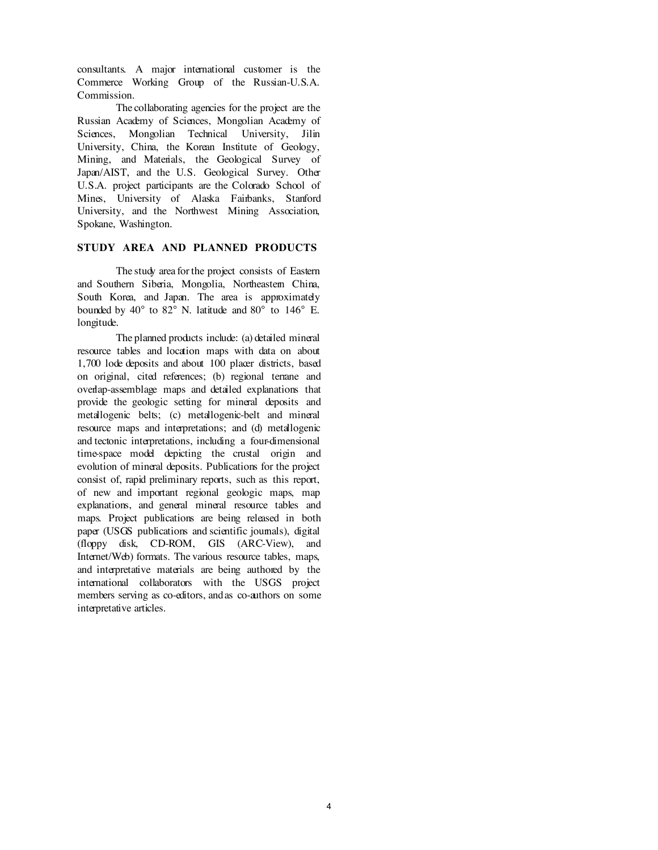consultants. A major international customer is the Commerce Working Group of the Russian-U.S.A. Commission.

The collaborating agencies for the project are the Russian Academy of Sciences, Mongolian Academy of Sciences, Mongolian Technical University, Jilin University, China, the Korean Institute of Geology, Mining, and Materials, the Geological Survey of Japan/AIST, and the U.S. Geological Survey. Other U.S.A. project participants are the Colorado School of Mines, University of Alaska Fairbanks, Stanford University, and the Northwest Mining Association, Spokane, Washington.

# **STUDY AREA AND PLANNED PRODUCTS**

The study area for the project consists of Eastern and Southern Siberia, Mongolia, Northeastem China, South Korea, and Japan. The area is approximately bounded by 40 to 82 N. latitude and 80 to 146 E. longitude.

The planned products include: (a) detailed mineral resource tables and location maps with data on about 1,700 lode deposits and about 100 placer districts, based on original, cited references; (b) regional terrane and overlap-assemblage maps and detailed explanations that provide the geologic setting for mineral deposits and metallogenic belts; (c) metallogenic-belt and mineral resource maps and interpretations; and (d) metallogenic and tectonic interpretations, including a four-dimensional time-space model depicting the crustal origin and evolution of mineral deposits. Publications for the project consist of, rapid preliminary reports, such as this report, of new and important regional geologic maps, map explanations, and general mineral resource tables and maps. Project publications are being released in both paper (USGS publications and scientific journals), digital (floppy disk, CD-ROM, GIS (ARC-View), and Internet/Web) formats. The various resource tables, maps, and interpretative materials are being authored by the international collaborators with the USGS project members serving as co-editors, andas co-authors on some interpretative articles.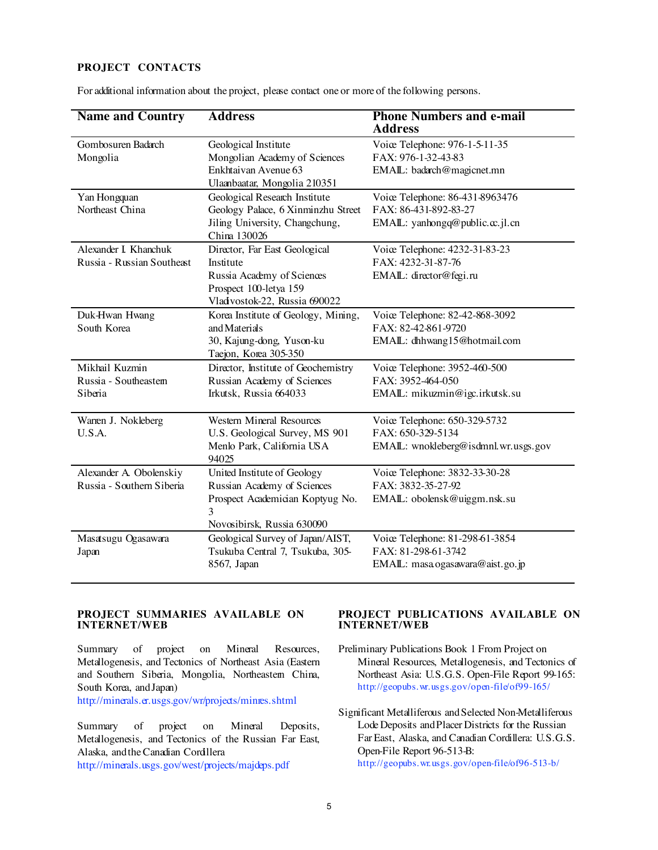# **PROJECT CONTACTS**

| <b>Name and Country</b>                              | <b>Address</b>                                                                                                                     | <b>Phone Numbers and e-mail</b><br><b>Address</b>                                          |
|------------------------------------------------------|------------------------------------------------------------------------------------------------------------------------------------|--------------------------------------------------------------------------------------------|
| Gombosuren Badarch<br>Mongolia                       | Geological Institute<br>Mongolian Academy of Sciences<br>Enkhtaivan Avenue 63<br>Ulaanbaatar, Mongolia 210351                      | Voiœ Telephone: 976-1-5-11-35<br>FAX: 976-1-32-43-83<br>EMAIL: badarch@magicnet.mn         |
| Yan Hongquan<br>Northeast China                      | Geological Research Institute<br>Geology Palace, 6 Xinminzhu Street<br>Jiling University, Changchung,<br>China 130026              | Voiœ Telephone: 86-431-8963476<br>FAX: 86-431-892-83-27<br>EMAIL: yanhongq@public.cc.jl.cn |
| Alexander I. Khanchuk<br>Russia - Russian Southeast  | Director, Far East Geological<br>Institute<br>Russia Academy of Sciences<br>Prospect 100-letya 159<br>Vladvostok-22, Russia 690022 | Voiœ Telephone: 4232-31-83-23<br>FAX: 4232-31-87-76<br>EMAIL: director@fegi.ru             |
| Duk-Hwan Hwang<br>South Korea                        | Korea Institute of Geology, Mining,<br>and Materials<br>30, Kajung-dong, Yuson-ku<br>Taejon, Korea 305-350                         | Voiœ Telephone: 82-42-868-3092<br>FAX: 82-42-861-9720<br>EMAIL: dhhwang15@hotmail.com      |
| Mikhail Kuzmin<br>Russia - Southeastem<br>Siberia    | Director, Institute of Geochemistry<br>Russian Academy of Sciences<br>Irkutsk, Russia 664033                                       | Voiœ Telephone: 3952-460-500<br>FAX: 3952-464-050<br>EMAIL: mikuzmin@igc.irkutsk.su        |
| Warren J. Nokleberg<br>U.S.A.                        | <b>Western Mineral Resources</b><br>U.S. Geological Survey, MS 901<br>Menlo Park, California USA<br>94025                          | Voiœ Telephone: 650-329-5732<br>FAX: 650-329-5134<br>EMAIL: wnokleberg@isdmnl.wr.usgs.gov  |
| Alexander A. Obolenskiy<br>Russia - Southern Siberia | United Institute of Geology<br>Russian Academy of Sciences<br>Prospect Academician Koptyug No.<br>3<br>Novosibirsk, Russia 630090  | Voiœ Telephone: 3832-33-30-28<br>FAX: 3832-35-27-92<br>EMAIL: obolensk@uiggm.nsk.su        |
| Masatsugu Ogasawara<br>Japan                         | Geological Survey of Japan/AIST,<br>Tsukuba Central 7, Tsukuba, 305-<br>8567, Japan                                                | Voiœ Telephone: 81-298-61-3854<br>FAX: 81-298-61-3742<br>EMAIL: masa ogasawara@aist.go.jp  |

For additional information about the project, please contact one or more of the following persons.

## **PROJECT SUMMARIES AVAILABLE ON INTERNET/WEB**

Summary of project on Mineral Resources, Metallogenesis, and Tectonics of Northeast Asia (Eastern and Southern Siberia, Mongolia, Northeastem China, South Korea, andJapan)

[http://minerals.er.usgs.gov/wr/projects/minres.](http://minerals.er.usgs.gov/wr/projects/minres.shtml)shtml

Summary of project on Mineral Deposits, Metallogenesis, and Tectonics of the Russian Far East, Alaska, andtheCanadian Cordillera

[http://minerals.usgs.gov/west/projects/majdeps.](http://minerals.usgs.gov/west/projects/majdeps.pdf)pdf

#### **PROJECT PUBLICATIONS AVAILABLE ON INTERNET/WEB**

Preliminary Publications Book 1 From Project on Mineral Resources, Metallogenesis, and Tectonics of Northeast Asia: U.S.G.S. Open-File Report 99-165: <http://geopubs.wr.usgs.gov/open-file/of99-165/>

Significant Metalliferous andSelected Non-Metalliferous Lode Deposits andPlacer Districts for the Russian Far East, Alaska, and Canadian Cordillera: U.S.G.S. Open-File Report 96-513-B: <http://geopubs.wr.usgs.gov/open-file/of96-513-b/>